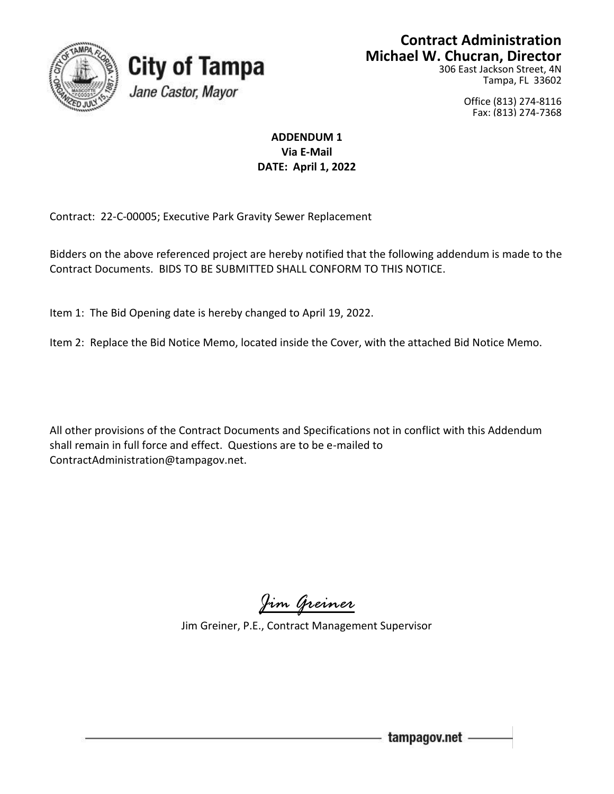

# **City of Tampa** Jane Castor, Mayor

## **Contract Administration Michael W. Chucran, Director**

306 East Jackson Street, 4N Tampa, FL 33602

> Office (813) 274-8116 Fax: (813) 274-7368

## **ADDENDUM 1 Via E-Mail DATE: April 1, 2022**

Contract: 22-C-00005; Executive Park Gravity Sewer Replacement

Bidders on the above referenced project are hereby notified that the following addendum is made to the Contract Documents. BIDS TO BE SUBMITTED SHALL CONFORM TO THIS NOTICE.

Item 1: The Bid Opening date is hereby changed to April 19, 2022.

Item 2: Replace the Bid Notice Memo, located inside the Cover, with the attached Bid Notice Memo.

All other provisions of the Contract Documents and Specifications not in conflict with this Addendum shall remain in full force and effect. Questions are to be e-mailed to ContractAdministration@tampagov.net.

*Jim Greiner*

Jim Greiner, P.E., Contract Management Supervisor